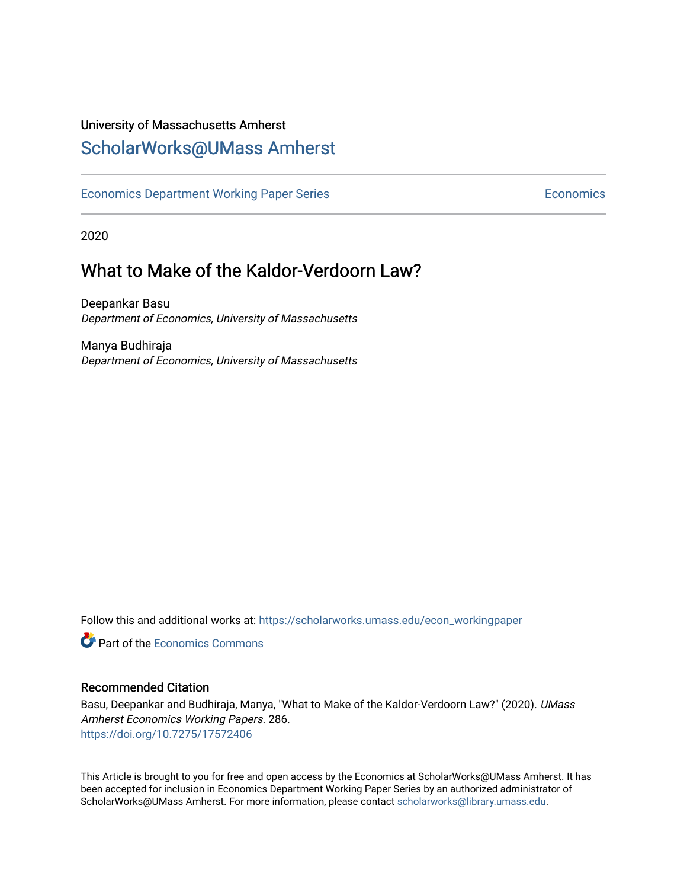# University of Massachusetts Amherst

# [ScholarWorks@UMass Amherst](https://scholarworks.umass.edu/)

[Economics Department Working Paper Series](https://scholarworks.umass.edu/econ_workingpaper) **Economics** Economics

2020

# What to Make of the Kaldor-Verdoorn Law?

Deepankar Basu Department of Economics, University of Massachusetts

Manya Budhiraja Department of Economics, University of Massachusetts

Follow this and additional works at: [https://scholarworks.umass.edu/econ\\_workingpaper](https://scholarworks.umass.edu/econ_workingpaper?utm_source=scholarworks.umass.edu%2Fecon_workingpaper%2F286&utm_medium=PDF&utm_campaign=PDFCoverPages) 

**C** Part of the [Economics Commons](http://network.bepress.com/hgg/discipline/340?utm_source=scholarworks.umass.edu%2Fecon_workingpaper%2F286&utm_medium=PDF&utm_campaign=PDFCoverPages)

#### Recommended Citation

Basu, Deepankar and Budhiraja, Manya, "What to Make of the Kaldor-Verdoorn Law?" (2020). UMass Amherst Economics Working Papers. 286. <https://doi.org/10.7275/17572406>

This Article is brought to you for free and open access by the Economics at ScholarWorks@UMass Amherst. It has been accepted for inclusion in Economics Department Working Paper Series by an authorized administrator of ScholarWorks@UMass Amherst. For more information, please contact [scholarworks@library.umass.edu.](mailto:scholarworks@library.umass.edu)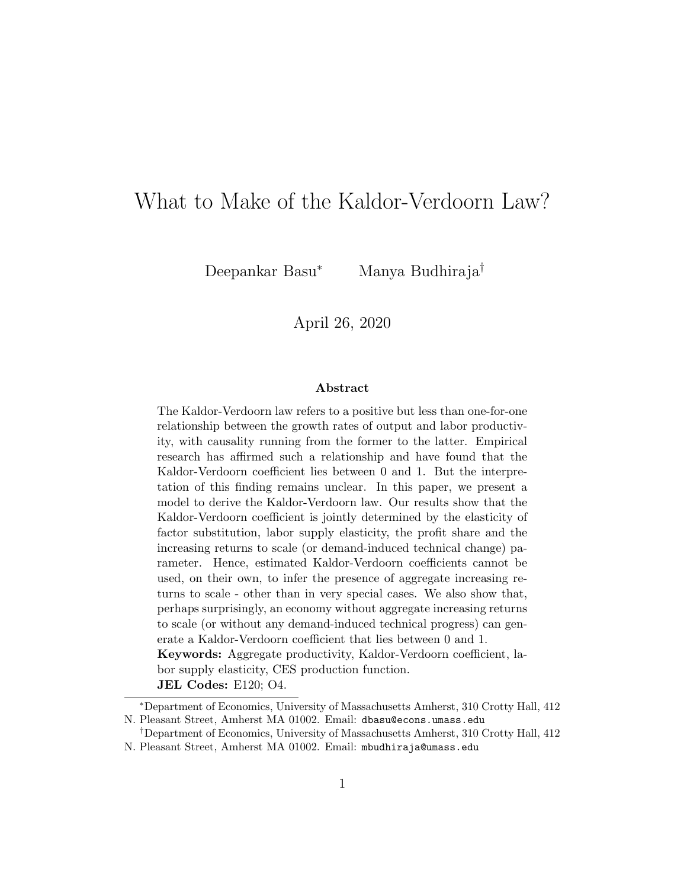# What to Make of the Kaldor-Verdoorn Law?

Deepankar Basu<sup>∗</sup> Manya Budhiraja†

### April 26, 2020

#### Abstract

The Kaldor-Verdoorn law refers to a positive but less than one-for-one relationship between the growth rates of output and labor productivity, with causality running from the former to the latter. Empirical research has affirmed such a relationship and have found that the Kaldor-Verdoorn coefficient lies between 0 and 1. But the interpretation of this finding remains unclear. In this paper, we present a model to derive the Kaldor-Verdoorn law. Our results show that the Kaldor-Verdoorn coefficient is jointly determined by the elasticity of factor substitution, labor supply elasticity, the profit share and the increasing returns to scale (or demand-induced technical change) parameter. Hence, estimated Kaldor-Verdoorn coefficients cannot be used, on their own, to infer the presence of aggregate increasing returns to scale - other than in very special cases. We also show that, perhaps surprisingly, an economy without aggregate increasing returns to scale (or without any demand-induced technical progress) can generate a Kaldor-Verdoorn coefficient that lies between 0 and 1. Keywords: Aggregate productivity, Kaldor-Verdoorn coefficient, la-

bor supply elasticity, CES production function.

JEL Codes: E120; O4.

<sup>∗</sup>Department of Economics, University of Massachusetts Amherst, 310 Crotty Hall, 412 N. Pleasant Street, Amherst MA 01002. Email: dbasu@econs.umass.edu

<sup>†</sup>Department of Economics, University of Massachusetts Amherst, 310 Crotty Hall, 412 N. Pleasant Street, Amherst MA 01002. Email: mbudhiraja@umass.edu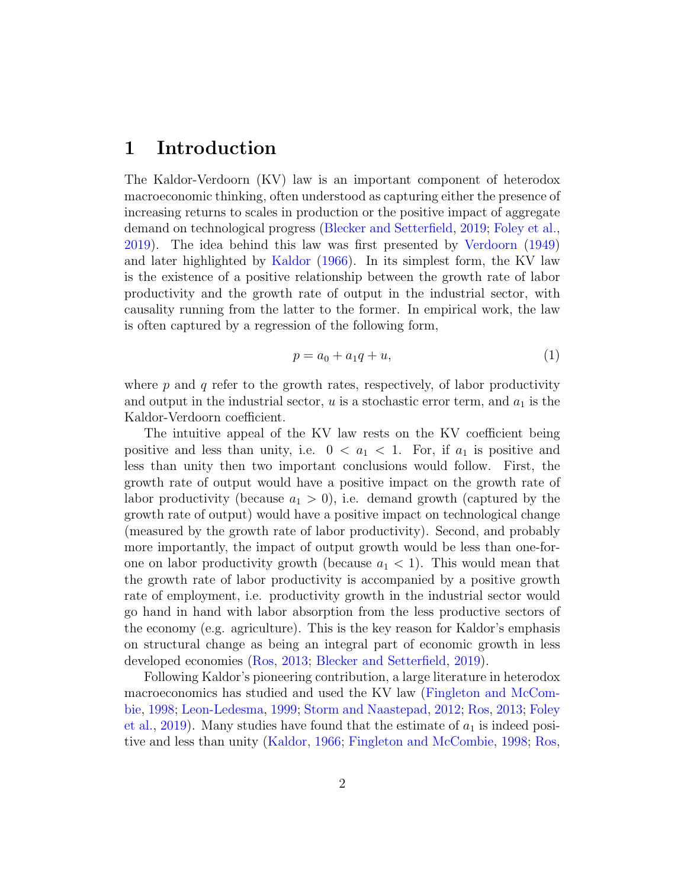## 1 Introduction

The Kaldor-Verdoorn (KV) law is an important component of heterodox macroeconomic thinking, often understood as capturing either the presence of increasing returns to scales in production or the positive impact of aggregate demand on technological progress [\(Blecker and Setterfield,](#page-19-0) [2019;](#page-19-0) [Foley et al.,](#page-19-1) [2019\)](#page-19-1). The idea behind this law was first presented by [Verdoorn](#page-20-0) [\(1949\)](#page-20-0) and later highlighted by [Kaldor](#page-19-2) [\(1966\)](#page-19-2). In its simplest form, the KV law is the existence of a positive relationship between the growth rate of labor productivity and the growth rate of output in the industrial sector, with causality running from the latter to the former. In empirical work, the law is often captured by a regression of the following form,

$$
p = a_0 + a_1 q + u,\t\t(1)
$$

where  $p$  and  $q$  refer to the growth rates, respectively, of labor productivity and output in the industrial sector,  $u$  is a stochastic error term, and  $a_1$  is the Kaldor-Verdoorn coefficient.

The intuitive appeal of the KV law rests on the KV coefficient being positive and less than unity, i.e.  $0 < a_1 < 1$ . For, if  $a_1$  is positive and less than unity then two important conclusions would follow. First, the growth rate of output would have a positive impact on the growth rate of labor productivity (because  $a_1 > 0$ ), i.e. demand growth (captured by the growth rate of output) would have a positive impact on technological change (measured by the growth rate of labor productivity). Second, and probably more importantly, the impact of output growth would be less than one-forone on labor productivity growth (because  $a_1 < 1$ ). This would mean that the growth rate of labor productivity is accompanied by a positive growth rate of employment, i.e. productivity growth in the industrial sector would go hand in hand with labor absorption from the less productive sectors of the economy (e.g. agriculture). This is the key reason for Kaldor's emphasis on structural change as being an integral part of economic growth in less developed economies [\(Ros,](#page-19-3) [2013;](#page-19-3) [Blecker and Setterfield,](#page-19-0) [2019\)](#page-19-0).

Following Kaldor's pioneering contribution, a large literature in heterodox macroeconomics has studied and used the KV law [\(Fingleton and McCom](#page-19-4)[bie,](#page-19-4) [1998;](#page-19-4) [Leon-Ledesma,](#page-19-5) [1999;](#page-19-5) [Storm and Naastepad,](#page-20-1) [2012;](#page-20-1) [Ros,](#page-19-3) [2013;](#page-19-3) [Foley](#page-19-1) [et al.,](#page-19-1) [2019\)](#page-19-1). Many studies have found that the estimate of  $a_1$  is indeed positive and less than unity [\(Kaldor,](#page-19-2) [1966;](#page-19-2) [Fingleton and McCombie,](#page-19-4) [1998;](#page-19-4) [Ros,](#page-19-3)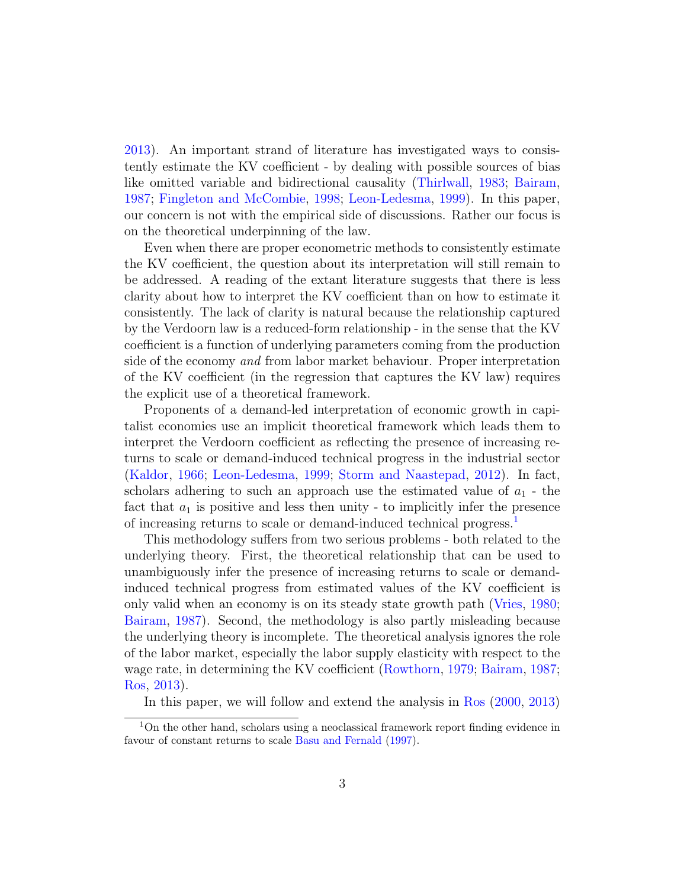[2013\)](#page-19-3). An important strand of literature has investigated ways to consistently estimate the KV coefficient - by dealing with possible sources of bias like omitted variable and bidirectional causality [\(Thirlwall,](#page-20-2) [1983;](#page-20-2) [Bairam,](#page-18-0) [1987;](#page-18-0) [Fingleton and McCombie,](#page-19-4) [1998;](#page-19-4) [Leon-Ledesma,](#page-19-5) [1999\)](#page-19-5). In this paper, our concern is not with the empirical side of discussions. Rather our focus is on the theoretical underpinning of the law.

Even when there are proper econometric methods to consistently estimate the KV coefficient, the question about its interpretation will still remain to be addressed. A reading of the extant literature suggests that there is less clarity about how to interpret the KV coefficient than on how to estimate it consistently. The lack of clarity is natural because the relationship captured by the Verdoorn law is a reduced-form relationship - in the sense that the KV coefficient is a function of underlying parameters coming from the production side of the economy and from labor market behaviour. Proper interpretation of the KV coefficient (in the regression that captures the KV law) requires the explicit use of a theoretical framework.

Proponents of a demand-led interpretation of economic growth in capitalist economies use an implicit theoretical framework which leads them to interpret the Verdoorn coefficient as reflecting the presence of increasing returns to scale or demand-induced technical progress in the industrial sector [\(Kaldor,](#page-19-2) [1966;](#page-19-2) [Leon-Ledesma,](#page-19-5) [1999;](#page-19-5) [Storm and Naastepad,](#page-20-1) [2012\)](#page-20-1). In fact, scholars adhering to such an approach use the estimated value of  $a_1$  - the fact that  $a_1$  is positive and less then unity - to implicitly infer the presence of increasing returns to scale or demand-induced technical progress.[1](#page-3-0)

This methodology suffers from two serious problems - both related to the underlying theory. First, the theoretical relationship that can be used to unambiguously infer the presence of increasing returns to scale or demandinduced technical progress from estimated values of the KV coefficient is only valid when an economy is on its steady state growth path [\(Vries,](#page-20-3) [1980;](#page-20-3) [Bairam,](#page-18-0) [1987\)](#page-18-0). Second, the methodology is also partly misleading because the underlying theory is incomplete. The theoretical analysis ignores the role of the labor market, especially the labor supply elasticity with respect to the wage rate, in determining the KV coefficient [\(Rowthorn,](#page-19-6) [1979;](#page-19-6) [Bairam,](#page-18-0) [1987;](#page-18-0) [Ros,](#page-19-3) [2013\)](#page-19-3).

<span id="page-3-0"></span>In this paper, we will follow and extend the analysis in [Ros](#page-19-7) [\(2000,](#page-19-7) [2013\)](#page-19-3)

<sup>1</sup>On the other hand, scholars using a neoclassical framework report finding evidence in favour of constant returns to scale [Basu and Fernald](#page-19-8) [\(1997\)](#page-19-8).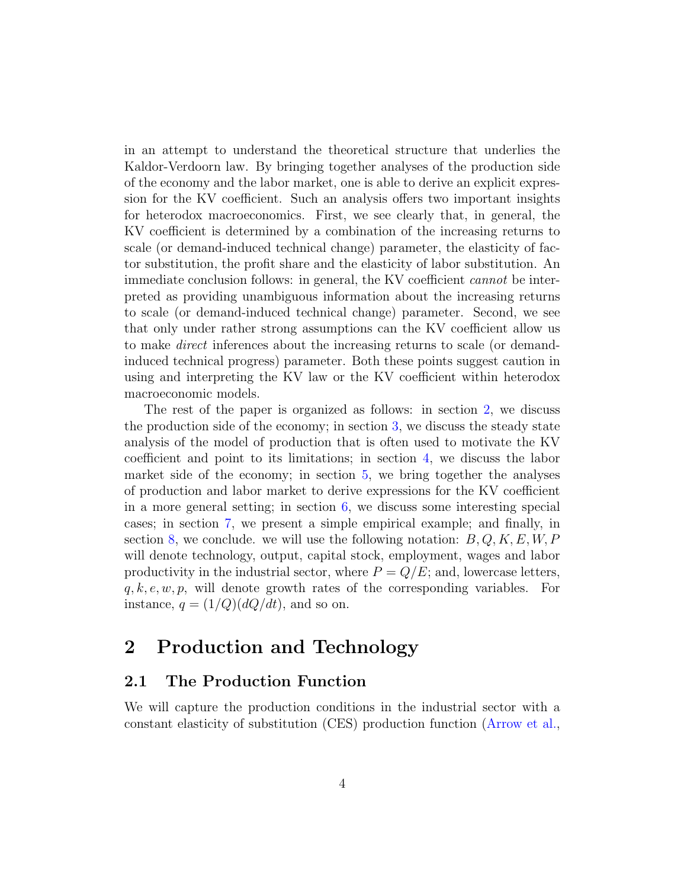in an attempt to understand the theoretical structure that underlies the Kaldor-Verdoorn law. By bringing together analyses of the production side of the economy and the labor market, one is able to derive an explicit expression for the KV coefficient. Such an analysis offers two important insights for heterodox macroeconomics. First, we see clearly that, in general, the KV coefficient is determined by a combination of the increasing returns to scale (or demand-induced technical change) parameter, the elasticity of factor substitution, the profit share and the elasticity of labor substitution. An immediate conclusion follows: in general, the KV coefficient cannot be interpreted as providing unambiguous information about the increasing returns to scale (or demand-induced technical change) parameter. Second, we see that only under rather strong assumptions can the KV coefficient allow us to make direct inferences about the increasing returns to scale (or demandinduced technical progress) parameter. Both these points suggest caution in using and interpreting the KV law or the KV coefficient within heterodox macroeconomic models.

The rest of the paper is organized as follows: in section [2,](#page-4-0) we discuss the production side of the economy; in section [3,](#page-7-0) we discuss the steady state analysis of the model of production that is often used to motivate the KV coefficient and point to its limitations; in section [4,](#page-8-0) we discuss the labor market side of the economy; in section [5,](#page-10-0) we bring together the analyses of production and labor market to derive expressions for the KV coefficient in a more general setting; in section [6,](#page-12-0) we discuss some interesting special cases; in section [7,](#page-16-0) we present a simple empirical example; and finally, in section [8,](#page-17-0) we conclude. we will use the following notation:  $B, Q, K, E, W, P$ will denote technology, output, capital stock, employment, wages and labor productivity in the industrial sector, where  $P = Q/E$ ; and, lowercase letters,  $q, k, e, w, p$ , will denote growth rates of the corresponding variables. For instance,  $q = (1/Q)(dQ/dt)$ , and so on.

## <span id="page-4-0"></span>2 Production and Technology

#### 2.1 The Production Function

We will capture the production conditions in the industrial sector with a constant elasticity of substitution (CES) production function [\(Arrow et al.,](#page-18-1)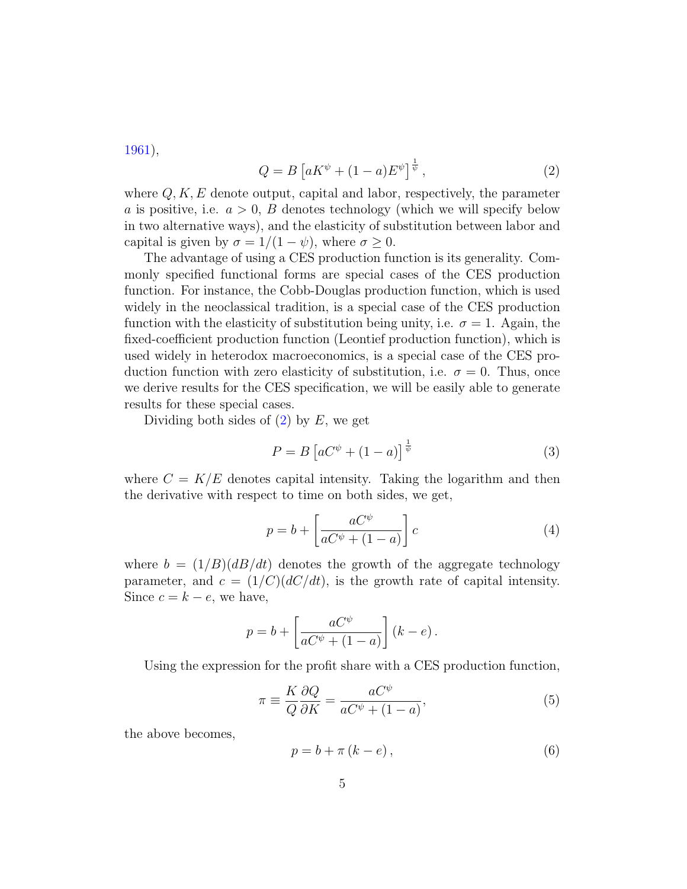[1961\)](#page-18-1),

<span id="page-5-0"></span>
$$
Q = B\left[aK^{\psi} + (1-a)E^{\psi}\right]^{\frac{1}{\psi}},\tag{2}
$$

where  $Q, K, E$  denote output, capital and labor, respectively, the parameter a is positive, i.e.  $a > 0$ , B denotes technology (which we will specify below in two alternative ways), and the elasticity of substitution between labor and capital is given by  $\sigma = 1/(1 - \psi)$ , where  $\sigma > 0$ .

The advantage of using a CES production function is its generality. Commonly specified functional forms are special cases of the CES production function. For instance, the Cobb-Douglas production function, which is used widely in the neoclassical tradition, is a special case of the CES production function with the elasticity of substitution being unity, i.e.  $\sigma = 1$ . Again, the fixed-coefficient production function (Leontief production function), which is used widely in heterodox macroeconomics, is a special case of the CES production function with zero elasticity of substitution, i.e.  $\sigma = 0$ . Thus, once we derive results for the CES specification, we will be easily able to generate results for these special cases.

Dividing both sides of  $(2)$  by E, we get

$$
P = B\left[aC^{\psi} + (1-a)\right]^{\frac{1}{\psi}}\tag{3}
$$

where  $C = K/E$  denotes capital intensity. Taking the logarithm and then the derivative with respect to time on both sides, we get,

$$
p = b + \left[\frac{aC^{\psi}}{aC^{\psi} + (1 - a)}\right]c
$$
 (4)

where  $b = (1/B)(dB/dt)$  denotes the growth of the aggregate technology parameter, and  $c = (1/C)(dC/dt)$ , is the growth rate of capital intensity. Since  $c = k - e$ , we have,

$$
p = b + \left[ \frac{aC^{\psi}}{aC^{\psi} + (1 - a)} \right] (k - e).
$$

Using the expression for the profit share with a CES production function,

<span id="page-5-2"></span>
$$
\pi \equiv \frac{K}{Q} \frac{\partial Q}{\partial K} = \frac{aC^{\psi}}{aC^{\psi} + (1 - a)},\tag{5}
$$

the above becomes,

<span id="page-5-1"></span>
$$
p = b + \pi (k - e), \tag{6}
$$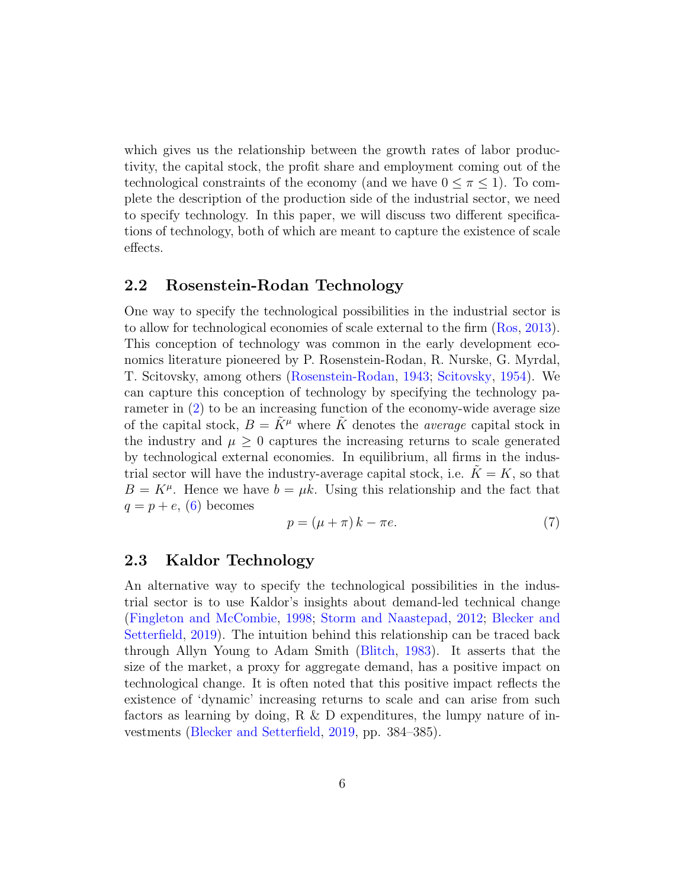which gives us the relationship between the growth rates of labor productivity, the capital stock, the profit share and employment coming out of the technological constraints of the economy (and we have  $0 \leq \pi \leq 1$ ). To complete the description of the production side of the industrial sector, we need to specify technology. In this paper, we will discuss two different specifications of technology, both of which are meant to capture the existence of scale effects.

### <span id="page-6-1"></span>2.2 Rosenstein-Rodan Technology

One way to specify the technological possibilities in the industrial sector is to allow for technological economies of scale external to the firm [\(Ros,](#page-19-3) [2013\)](#page-19-3). This conception of technology was common in the early development economics literature pioneered by P. Rosenstein-Rodan, R. Nurske, G. Myrdal, T. Scitovsky, among others [\(Rosenstein-Rodan,](#page-19-9) [1943;](#page-19-9) [Scitovsky,](#page-20-4) [1954\)](#page-20-4). We can capture this conception of technology by specifying the technology parameter in [\(2\)](#page-5-0) to be an increasing function of the economy-wide average size of the capital stock,  $B = K^{\mu}$  where K denotes the *average* capital stock in the industry and  $\mu \geq 0$  captures the increasing returns to scale generated by technological external economies. In equilibrium, all firms in the industrial sector will have the industry-average capital stock, i.e.  $K = K$ , so that  $B = K^{\mu}$ . Hence we have  $b = \mu k$ . Using this relationship and the fact that  $q = p + e$ , [\(6\)](#page-5-1) becomes

<span id="page-6-0"></span>
$$
p = (\mu + \pi)k - \pi e. \tag{7}
$$

#### <span id="page-6-2"></span>2.3 Kaldor Technology

An alternative way to specify the technological possibilities in the industrial sector is to use Kaldor's insights about demand-led technical change [\(Fingleton and McCombie,](#page-19-4) [1998;](#page-19-4) [Storm and Naastepad,](#page-20-1) [2012;](#page-20-1) [Blecker and](#page-19-0) [Setterfield,](#page-19-0) [2019\)](#page-19-0). The intuition behind this relationship can be traced back through Allyn Young to Adam Smith [\(Blitch,](#page-19-10) [1983\)](#page-19-10). It asserts that the size of the market, a proxy for aggregate demand, has a positive impact on technological change. It is often noted that this positive impact reflects the existence of 'dynamic' increasing returns to scale and can arise from such factors as learning by doing, R & D expenditures, the lumpy nature of investments [\(Blecker and Setterfield,](#page-19-0) [2019,](#page-19-0) pp. 384–385).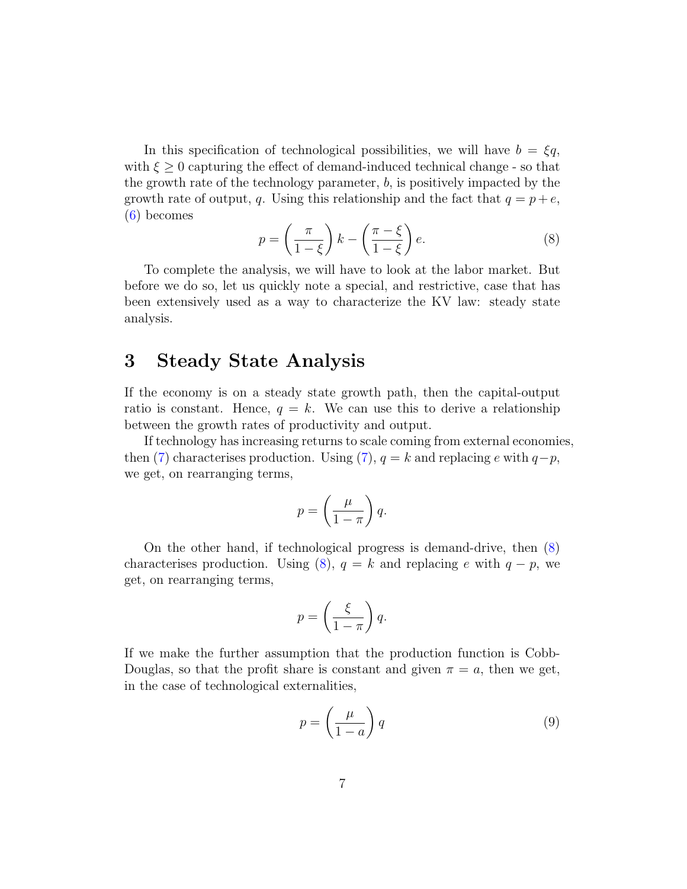In this specification of technological possibilities, we will have  $b = \xi q$ , with  $\xi \geq 0$  capturing the effect of demand-induced technical change - so that the growth rate of the technology parameter, b, is positively impacted by the growth rate of output, q. Using this relationship and the fact that  $q = p + e$ , [\(6\)](#page-5-1) becomes

<span id="page-7-1"></span>
$$
p = \left(\frac{\pi}{1-\xi}\right)k - \left(\frac{\pi-\xi}{1-\xi}\right)e.
$$
 (8)

To complete the analysis, we will have to look at the labor market. But before we do so, let us quickly note a special, and restrictive, case that has been extensively used as a way to characterize the KV law: steady state analysis.

## <span id="page-7-0"></span>3 Steady State Analysis

If the economy is on a steady state growth path, then the capital-output ratio is constant. Hence,  $q = k$ . We can use this to derive a relationship between the growth rates of productivity and output.

If technology has increasing returns to scale coming from external economies, then [\(7\)](#page-6-0) characterises production. Using (7),  $q = k$  and replacing e with  $q-p$ , we get, on rearranging terms,

$$
p = \left(\frac{\mu}{1-\pi}\right)q.
$$

On the other hand, if technological progress is demand-drive, then [\(8\)](#page-7-1) characterises production. Using [\(8\)](#page-7-1),  $q = k$  and replacing e with  $q - p$ , we get, on rearranging terms,

$$
p = \left(\frac{\xi}{1-\pi}\right)q.
$$

If we make the further assumption that the production function is Cobb-Douglas, so that the profit share is constant and given  $\pi = a$ , then we get, in the case of technological externalities,

$$
p = \left(\frac{\mu}{1-a}\right)q\tag{9}
$$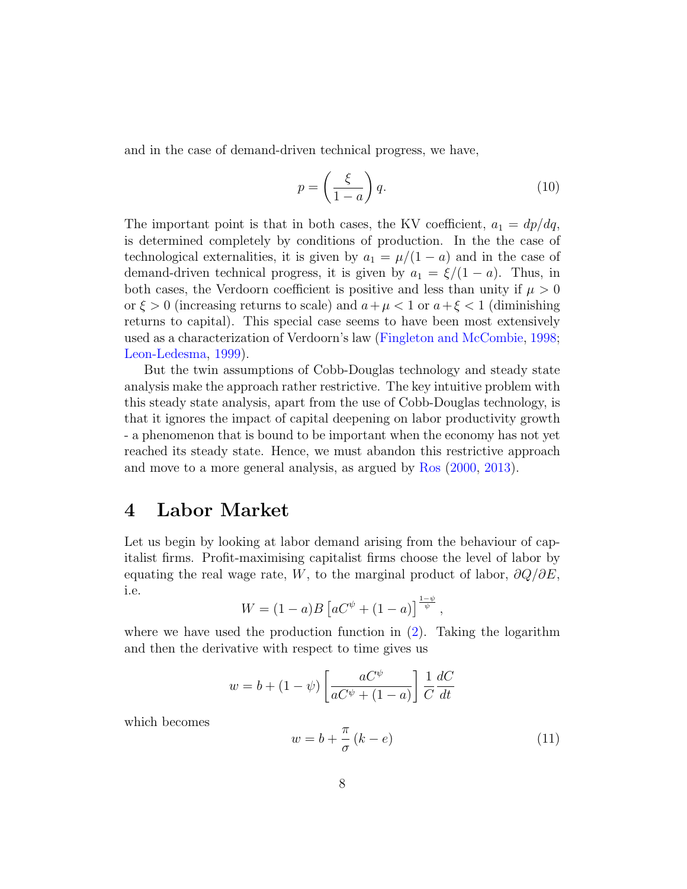and in the case of demand-driven technical progress, we have,

$$
p = \left(\frac{\xi}{1-a}\right)q.\tag{10}
$$

The important point is that in both cases, the KV coefficient,  $a_1 = dp/dq$ , is determined completely by conditions of production. In the the case of technological externalities, it is given by  $a_1 = \mu/(1 - a)$  and in the case of demand-driven technical progress, it is given by  $a_1 = \xi/(1-a)$ . Thus, in both cases, the Verdoorn coefficient is positive and less than unity if  $\mu > 0$ or  $\xi > 0$  (increasing returns to scale) and  $a + \mu < 1$  or  $a + \xi < 1$  (diminishing returns to capital). This special case seems to have been most extensively used as a characterization of Verdoorn's law [\(Fingleton and McCombie,](#page-19-4) [1998;](#page-19-4) [Leon-Ledesma,](#page-19-5) [1999\)](#page-19-5).

But the twin assumptions of Cobb-Douglas technology and steady state analysis make the approach rather restrictive. The key intuitive problem with this steady state analysis, apart from the use of Cobb-Douglas technology, is that it ignores the impact of capital deepening on labor productivity growth - a phenomenon that is bound to be important when the economy has not yet reached its steady state. Hence, we must abandon this restrictive approach and move to a more general analysis, as argued by [Ros](#page-19-7) [\(2000,](#page-19-7) [2013\)](#page-19-3).

## <span id="page-8-0"></span>4 Labor Market

Let us begin by looking at labor demand arising from the behaviour of capitalist firms. Profit-maximising capitalist firms choose the level of labor by equating the real wage rate, W, to the marginal product of labor,  $\partial Q/\partial E$ , i.e.

$$
W = (1 - a)B \left[ aC^{\psi} + (1 - a) \right]^{\frac{1 - \psi}{\psi}},
$$

where we have used the production function in  $(2)$ . Taking the logarithm and then the derivative with respect to time gives us

$$
w = b + (1 - \psi) \left[ \frac{aC^{\psi}}{aC^{\psi} + (1 - a)} \right] \frac{1}{C} \frac{dC}{dt}
$$

which becomes

<span id="page-8-1"></span>
$$
w = b + \frac{\pi}{\sigma} (k - e)
$$
\n<sup>(11)</sup>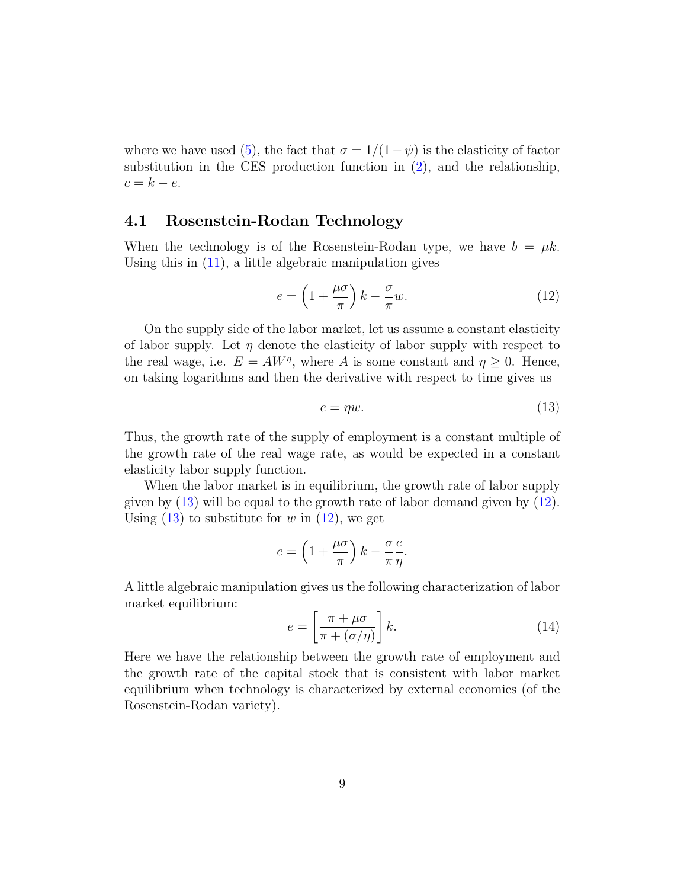where we have used [\(5\)](#page-5-2), the fact that  $\sigma = 1/(1-\psi)$  is the elasticity of factor substitution in the CES production function in [\(2\)](#page-5-0), and the relationship,  $c = k - e$ .

### 4.1 Rosenstein-Rodan Technology

When the technology is of the Rosenstein-Rodan type, we have  $b = \mu k$ . Using this in [\(11\)](#page-8-1), a little algebraic manipulation gives

<span id="page-9-1"></span>
$$
e = \left(1 + \frac{\mu \sigma}{\pi}\right)k - \frac{\sigma}{\pi}w.
$$
\n(12)

On the supply side of the labor market, let us assume a constant elasticity of labor supply. Let  $\eta$  denote the elasticity of labor supply with respect to the real wage, i.e.  $E = AW^{\eta}$ , where A is some constant and  $\eta \geq 0$ . Hence, on taking logarithms and then the derivative with respect to time gives us

<span id="page-9-0"></span>
$$
e = \eta w.\tag{13}
$$

Thus, the growth rate of the supply of employment is a constant multiple of the growth rate of the real wage rate, as would be expected in a constant elasticity labor supply function.

When the labor market is in equilibrium, the growth rate of labor supply given by [\(13\)](#page-9-0) will be equal to the growth rate of labor demand given by [\(12\)](#page-9-1). Using  $(13)$  to substitute for w in  $(12)$ , we get

$$
e = \left(1 + \frac{\mu \sigma}{\pi}\right)k - \frac{\sigma e}{\pi \eta}.
$$

A little algebraic manipulation gives us the following characterization of labor market equilibrium:

<span id="page-9-2"></span>
$$
e = \left[\frac{\pi + \mu\sigma}{\pi + (\sigma/\eta)}\right]k.
$$
 (14)

Here we have the relationship between the growth rate of employment and the growth rate of the capital stock that is consistent with labor market equilibrium when technology is characterized by external economies (of the Rosenstein-Rodan variety).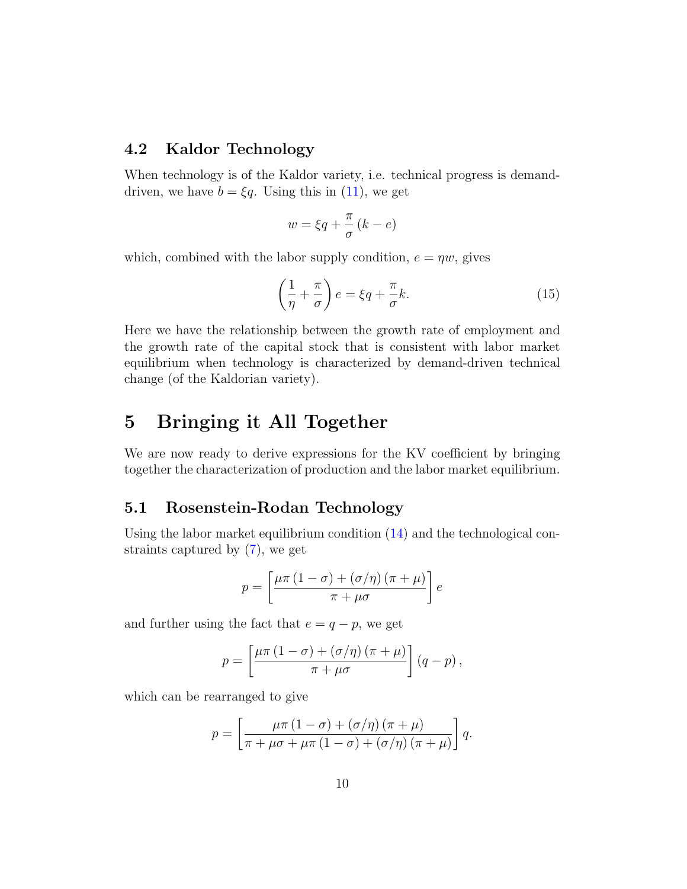## 4.2 Kaldor Technology

When technology is of the Kaldor variety, i.e. technical progress is demanddriven, we have  $b = \xi q$ . Using this in [\(11\)](#page-8-1), we get

$$
w = \xi q + \frac{\pi}{\sigma} (k - e)
$$

which, combined with the labor supply condition,  $e = \eta w$ , gives

<span id="page-10-1"></span>
$$
\left(\frac{1}{\eta} + \frac{\pi}{\sigma}\right)e = \xi q + \frac{\pi}{\sigma}k.\tag{15}
$$

Here we have the relationship between the growth rate of employment and the growth rate of the capital stock that is consistent with labor market equilibrium when technology is characterized by demand-driven technical change (of the Kaldorian variety).

# <span id="page-10-0"></span>5 Bringing it All Together

We are now ready to derive expressions for the KV coefficient by bringing together the characterization of production and the labor market equilibrium.

### 5.1 Rosenstein-Rodan Technology

Using the labor market equilibrium condition [\(14\)](#page-9-2) and the technological constraints captured by [\(7\)](#page-6-0), we get

$$
p = \left[\frac{\mu\pi (1 - \sigma) + (\sigma/\eta) (\pi + \mu)}{\pi + \mu\sigma}\right]e
$$

and further using the fact that  $e = q - p$ , we get

$$
p = \left[\frac{\mu\pi (1-\sigma) + (\sigma/\eta) (\pi + \mu)}{\pi + \mu\sigma}\right] (q - p),
$$

which can be rearranged to give

$$
p = \left[\frac{\mu\pi (1-\sigma) + (\sigma/\eta) (\pi + \mu)}{\pi + \mu\sigma + \mu\pi (1-\sigma) + (\sigma/\eta) (\pi + \mu)}\right] q.
$$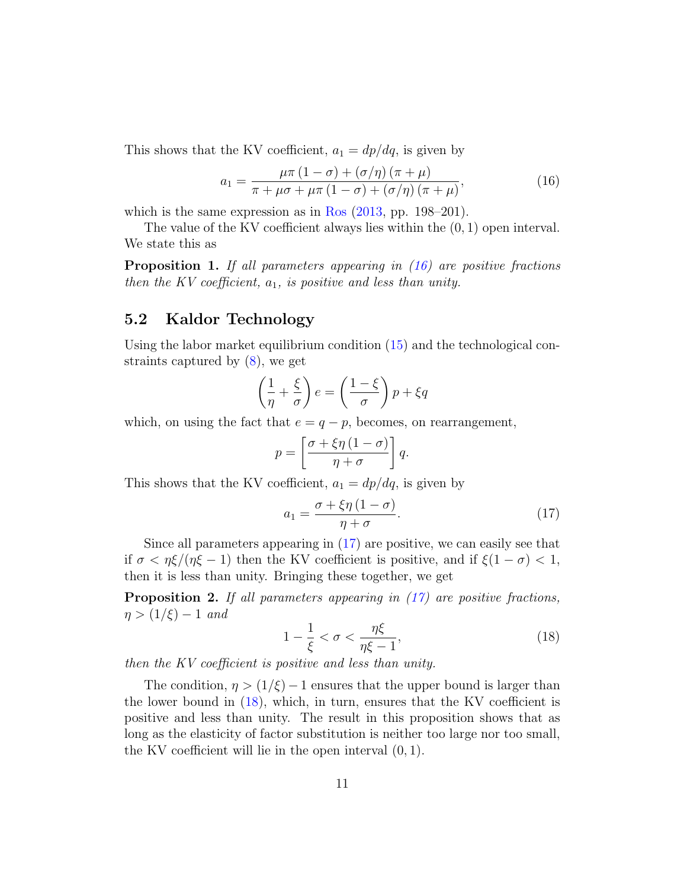This shows that the KV coefficient,  $a_1 = dp/dq$ , is given by

<span id="page-11-0"></span>
$$
a_1 = \frac{\mu \pi \left(1 - \sigma\right) + \left(\sigma/\eta\right) \left(\pi + \mu\right)}{\pi + \mu \sigma + \mu \pi \left(1 - \sigma\right) + \left(\sigma/\eta\right) \left(\pi + \mu\right)},\tag{16}
$$

which is the same expression as in [Ros](#page-19-3)  $(2013, pp. 198-201)$  $(2013, pp. 198-201)$ .

The value of the KV coefficient always lies within the  $(0, 1)$  open interval. We state this as

<span id="page-11-4"></span>**Proposition 1.** If all parameters appearing in  $(16)$  are positive fractions then the KV coefficient,  $a_1$ , is positive and less than unity.

## 5.2 Kaldor Technology

Using the labor market equilibrium condition [\(15\)](#page-10-1) and the technological constraints captured by [\(8\)](#page-7-1), we get

$$
\left(\frac{1}{\eta} + \frac{\xi}{\sigma}\right)e = \left(\frac{1-\xi}{\sigma}\right)p + \xi q
$$

which, on using the fact that  $e = q - p$ , becomes, on rearrangement,

$$
p = \left[\frac{\sigma + \xi\eta\left(1 - \sigma\right)}{\eta + \sigma}\right]q.
$$

This shows that the KV coefficient,  $a_1 = dp/dq$ , is given by

<span id="page-11-1"></span>
$$
a_1 = \frac{\sigma + \xi \eta \left(1 - \sigma\right)}{\eta + \sigma}.\tag{17}
$$

Since all parameters appearing in [\(17\)](#page-11-1) are positive, we can easily see that if  $\sigma < \eta \xi / (\eta \xi - 1)$  then the KV coefficient is positive, and if  $\xi (1 - \sigma) < 1$ , then it is less than unity. Bringing these together, we get

<span id="page-11-3"></span>**Proposition 2.** If all parameters appearing in  $(17)$  are positive fractions,  $\eta > (1/\xi) - 1$  and

<span id="page-11-2"></span>
$$
1 - \frac{1}{\xi} < \sigma < \frac{\eta \xi}{\eta \xi - 1},\tag{18}
$$

then the KV coefficient is positive and less than unity.

The condition,  $\eta > (1/\xi) - 1$  ensures that the upper bound is larger than the lower bound in [\(18\)](#page-11-2), which, in turn, ensures that the KV coefficient is positive and less than unity. The result in this proposition shows that as long as the elasticity of factor substitution is neither too large nor too small, the KV coefficient will lie in the open interval (0, 1).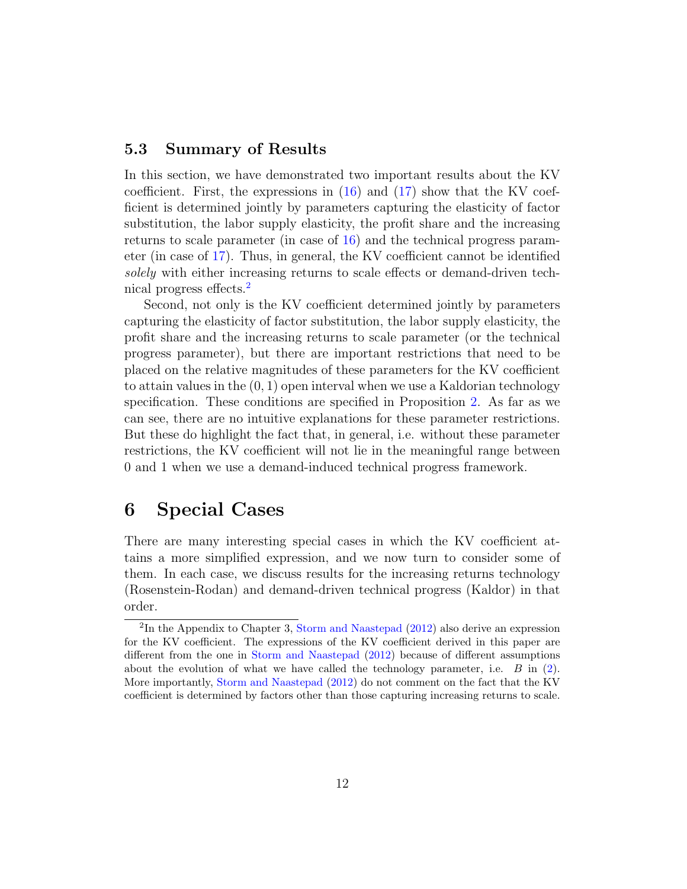#### 5.3 Summary of Results

In this section, we have demonstrated two important results about the KV coefficient. First, the expressions in  $(16)$  and  $(17)$  show that the KV coefficient is determined jointly by parameters capturing the elasticity of factor substitution, the labor supply elasticity, the profit share and the increasing returns to scale parameter (in case of [16\)](#page-11-0) and the technical progress parameter (in case of [17\)](#page-11-1). Thus, in general, the KV coefficient cannot be identified solely with either increasing returns to scale effects or demand-driven technical progress effects.[2](#page-12-1)

Second, not only is the KV coefficient determined jointly by parameters capturing the elasticity of factor substitution, the labor supply elasticity, the profit share and the increasing returns to scale parameter (or the technical progress parameter), but there are important restrictions that need to be placed on the relative magnitudes of these parameters for the KV coefficient to attain values in the  $(0, 1)$  open interval when we use a Kaldorian technology specification. These conditions are specified in Proposition [2.](#page-11-3) As far as we can see, there are no intuitive explanations for these parameter restrictions. But these do highlight the fact that, in general, i.e. without these parameter restrictions, the KV coefficient will not lie in the meaningful range between 0 and 1 when we use a demand-induced technical progress framework.

## <span id="page-12-0"></span>6 Special Cases

There are many interesting special cases in which the KV coefficient attains a more simplified expression, and we now turn to consider some of them. In each case, we discuss results for the increasing returns technology (Rosenstein-Rodan) and demand-driven technical progress (Kaldor) in that order.

<span id="page-12-1"></span><sup>&</sup>lt;sup>2</sup>In the Appendix to Chapter 3, [Storm and Naastepad](#page-20-1) [\(2012\)](#page-20-1) also derive an expression for the KV coefficient. The expressions of the KV coefficient derived in this paper are different from the one in [Storm and Naastepad](#page-20-1) [\(2012\)](#page-20-1) because of different assumptions about the evolution of what we have called the technology parameter, i.e.  $B$  in [\(2\)](#page-5-0). More importantly, [Storm and Naastepad](#page-20-1) [\(2012\)](#page-20-1) do not comment on the fact that the KV coefficient is determined by factors other than those capturing increasing returns to scale.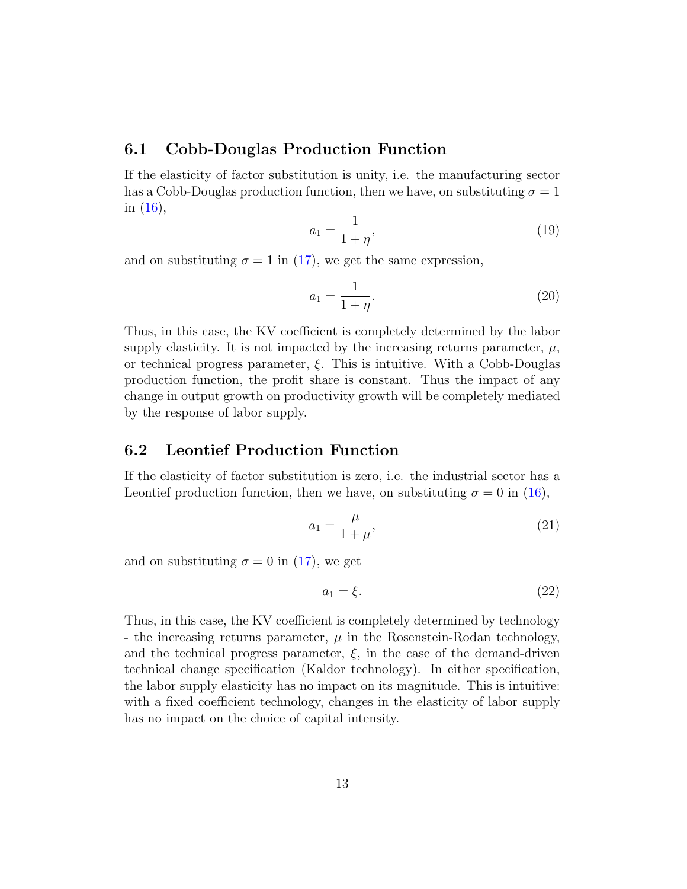#### 6.1 Cobb-Douglas Production Function

If the elasticity of factor substitution is unity, i.e. the manufacturing sector has a Cobb-Douglas production function, then we have, on substituting  $\sigma = 1$ in [\(16\)](#page-11-0),

$$
a_1 = \frac{1}{1+\eta},\tag{19}
$$

and on substituting  $\sigma = 1$  in [\(17\)](#page-11-1), we get the same expression,

$$
a_1 = \frac{1}{1+\eta}.\t(20)
$$

Thus, in this case, the KV coefficient is completely determined by the labor supply elasticity. It is not impacted by the increasing returns parameter,  $\mu$ , or technical progress parameter, ξ. This is intuitive. With a Cobb-Douglas production function, the profit share is constant. Thus the impact of any change in output growth on productivity growth will be completely mediated by the response of labor supply.

#### 6.2 Leontief Production Function

If the elasticity of factor substitution is zero, i.e. the industrial sector has a Leontief production function, then we have, on substituting  $\sigma = 0$  in [\(16\)](#page-11-0),

$$
a_1 = \frac{\mu}{1+\mu},\tag{21}
$$

and on substituting  $\sigma = 0$  in [\(17\)](#page-11-1), we get

$$
a_1 = \xi. \tag{22}
$$

Thus, in this case, the KV coefficient is completely determined by technology - the increasing returns parameter,  $\mu$  in the Rosenstein-Rodan technology, and the technical progress parameter,  $\xi$ , in the case of the demand-driven technical change specification (Kaldor technology). In either specification, the labor supply elasticity has no impact on its magnitude. This is intuitive: with a fixed coefficient technology, changes in the elasticity of labor supply has no impact on the choice of capital intensity.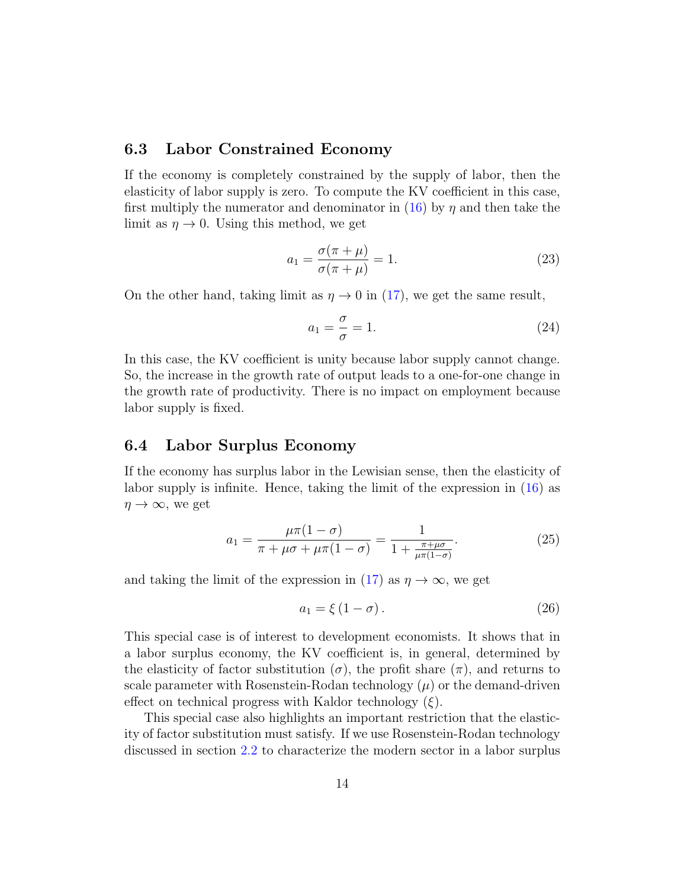#### 6.3 Labor Constrained Economy

If the economy is completely constrained by the supply of labor, then the elasticity of labor supply is zero. To compute the KV coefficient in this case, first multiply the numerator and denominator in [\(16\)](#page-11-0) by  $\eta$  and then take the limit as  $\eta \to 0$ . Using this method, we get

$$
a_1 = \frac{\sigma(\pi + \mu)}{\sigma(\pi + \mu)} = 1.
$$
\n(23)

On the other hand, taking limit as  $\eta \to 0$  in [\(17\)](#page-11-1), we get the same result,

$$
a_1 = \frac{\sigma}{\sigma} = 1. \tag{24}
$$

In this case, the KV coefficient is unity because labor supply cannot change. So, the increase in the growth rate of output leads to a one-for-one change in the growth rate of productivity. There is no impact on employment because labor supply is fixed.

#### 6.4 Labor Surplus Economy

If the economy has surplus labor in the Lewisian sense, then the elasticity of labor supply is infinite. Hence, taking the limit of the expression in [\(16\)](#page-11-0) as  $\eta \to \infty$ , we get

<span id="page-14-0"></span>
$$
a_1 = \frac{\mu \pi (1 - \sigma)}{\pi + \mu \sigma + \mu \pi (1 - \sigma)} = \frac{1}{1 + \frac{\pi + \mu \sigma}{\mu \pi (1 - \sigma)}}.
$$
 (25)

and taking the limit of the expression in [\(17\)](#page-11-1) as  $\eta \to \infty$ , we get

$$
a_1 = \xi \left( 1 - \sigma \right). \tag{26}
$$

This special case is of interest to development economists. It shows that in a labor surplus economy, the KV coefficient is, in general, determined by the elasticity of factor substitution ( $\sigma$ ), the profit share ( $\pi$ ), and returns to scale parameter with Rosenstein-Rodan technology  $(\mu)$  or the demand-driven effect on technical progress with Kaldor technology  $(\xi)$ .

This special case also highlights an important restriction that the elasticity of factor substitution must satisfy. If we use Rosenstein-Rodan technology discussed in section [2.2](#page-6-1) to characterize the modern sector in a labor surplus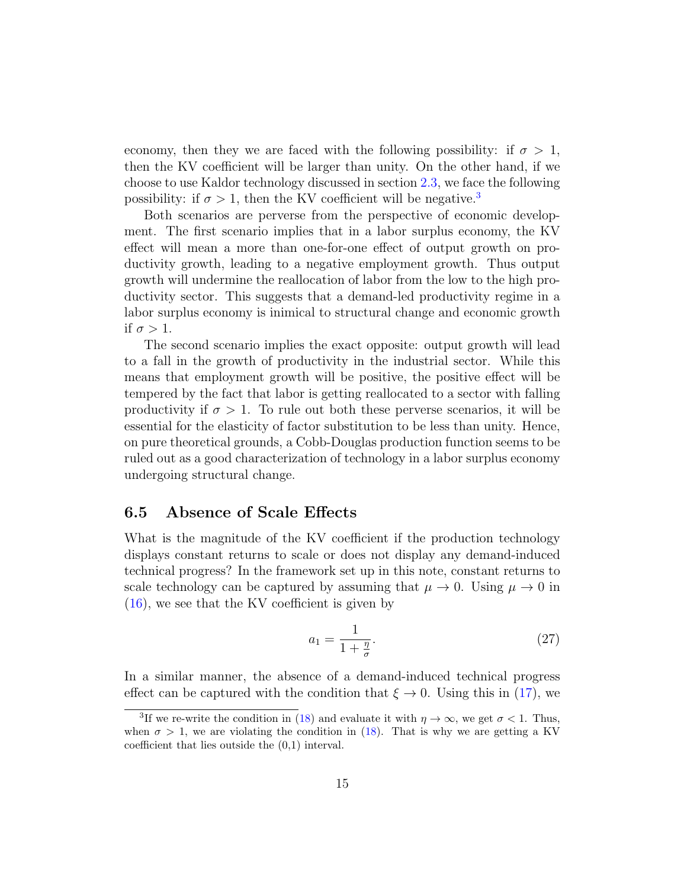economy, then they we are faced with the following possibility: if  $\sigma > 1$ , then the KV coefficient will be larger than unity. On the other hand, if we choose to use Kaldor technology discussed in section [2.3,](#page-6-2) we face the following possibility: if  $\sigma > 1$ , then the KV coefficient will be negative.<sup>[3](#page-15-0)</sup>

Both scenarios are perverse from the perspective of economic development. The first scenario implies that in a labor surplus economy, the KV effect will mean a more than one-for-one effect of output growth on productivity growth, leading to a negative employment growth. Thus output growth will undermine the reallocation of labor from the low to the high productivity sector. This suggests that a demand-led productivity regime in a labor surplus economy is inimical to structural change and economic growth if  $\sigma > 1$ .

The second scenario implies the exact opposite: output growth will lead to a fall in the growth of productivity in the industrial sector. While this means that employment growth will be positive, the positive effect will be tempered by the fact that labor is getting reallocated to a sector with falling productivity if  $\sigma > 1$ . To rule out both these perverse scenarios, it will be essential for the elasticity of factor substitution to be less than unity. Hence, on pure theoretical grounds, a Cobb-Douglas production function seems to be ruled out as a good characterization of technology in a labor surplus economy undergoing structural change.

#### 6.5 Absence of Scale Effects

What is the magnitude of the KV coefficient if the production technology displays constant returns to scale or does not display any demand-induced technical progress? In the framework set up in this note, constant returns to scale technology can be captured by assuming that  $\mu \to 0$ . Using  $\mu \to 0$  in [\(16\)](#page-11-0), we see that the KV coefficient is given by

<span id="page-15-1"></span>
$$
a_1 = \frac{1}{1 + \frac{\eta}{\sigma}}.\tag{27}
$$

In a similar manner, the absence of a demand-induced technical progress effect can be captured with the condition that  $\xi \to 0$ . Using this in [\(17\)](#page-11-1), we

<span id="page-15-0"></span><sup>&</sup>lt;sup>3</sup>If we re-write the condition in [\(18\)](#page-11-2) and evaluate it with  $\eta \to \infty$ , we get  $\sigma < 1$ . Thus, when  $\sigma > 1$ , we are violating the condition in [\(18\)](#page-11-2). That is why we are getting a KV coefficient that lies outside the (0,1) interval.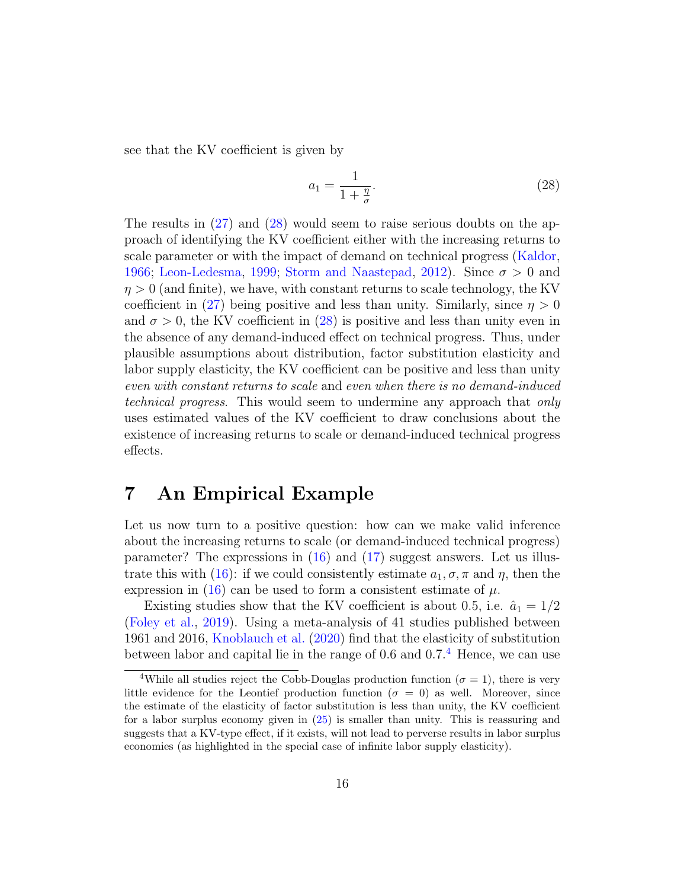see that the KV coefficient is given by

<span id="page-16-1"></span>
$$
a_1 = \frac{1}{1 + \frac{\eta}{\sigma}}.\tag{28}
$$

The results in  $(27)$  and  $(28)$  would seem to raise serious doubts on the approach of identifying the KV coefficient either with the increasing returns to scale parameter or with the impact of demand on technical progress [\(Kaldor,](#page-19-2) [1966;](#page-19-2) [Leon-Ledesma,](#page-19-5) [1999;](#page-19-5) [Storm and Naastepad,](#page-20-1) [2012\)](#page-20-1). Since  $\sigma > 0$  and  $\eta > 0$  (and finite), we have, with constant returns to scale technology, the KV coefficient in [\(27\)](#page-15-1) being positive and less than unity. Similarly, since  $\eta > 0$ and  $\sigma > 0$ , the KV coefficient in [\(28\)](#page-16-1) is positive and less than unity even in the absence of any demand-induced effect on technical progress. Thus, under plausible assumptions about distribution, factor substitution elasticity and labor supply elasticity, the KV coefficient can be positive and less than unity even with constant returns to scale and even when there is no demand-induced technical progress. This would seem to undermine any approach that only uses estimated values of the KV coefficient to draw conclusions about the existence of increasing returns to scale or demand-induced technical progress effects.

## <span id="page-16-0"></span>7 An Empirical Example

Let us now turn to a positive question: how can we make valid inference about the increasing returns to scale (or demand-induced technical progress) parameter? The expressions in [\(16\)](#page-11-0) and [\(17\)](#page-11-1) suggest answers. Let us illus-trate this with [\(16\)](#page-11-0): if we could consistently estimate  $a_1, \sigma, \pi$  and  $\eta$ , then the expression in [\(16\)](#page-11-0) can be used to form a consistent estimate of  $\mu$ .

Existing studies show that the KV coefficient is about 0.5, i.e.  $\hat{a}_1 = 1/2$ [\(Foley et al.,](#page-19-1) [2019\)](#page-19-1). Using a meta-analysis of 41 studies published between 1961 and 2016, [Knoblauch et al.](#page-19-11) [\(2020\)](#page-19-11) find that the elasticity of substitution between labor and capital lie in the range of 0.6 and  $0.7<sup>4</sup>$  $0.7<sup>4</sup>$  $0.7<sup>4</sup>$  Hence, we can use

<span id="page-16-2"></span><sup>&</sup>lt;sup>4</sup>While all studies reject the Cobb-Douglas production function ( $\sigma = 1$ ), there is very little evidence for the Leontief production function ( $\sigma = 0$ ) as well. Moreover, since the estimate of the elasticity of factor substitution is less than unity, the KV coefficient for a labor surplus economy given in [\(25\)](#page-14-0) is smaller than unity. This is reassuring and suggests that a KV-type effect, if it exists, will not lead to perverse results in labor surplus economies (as highlighted in the special case of infinite labor supply elasticity).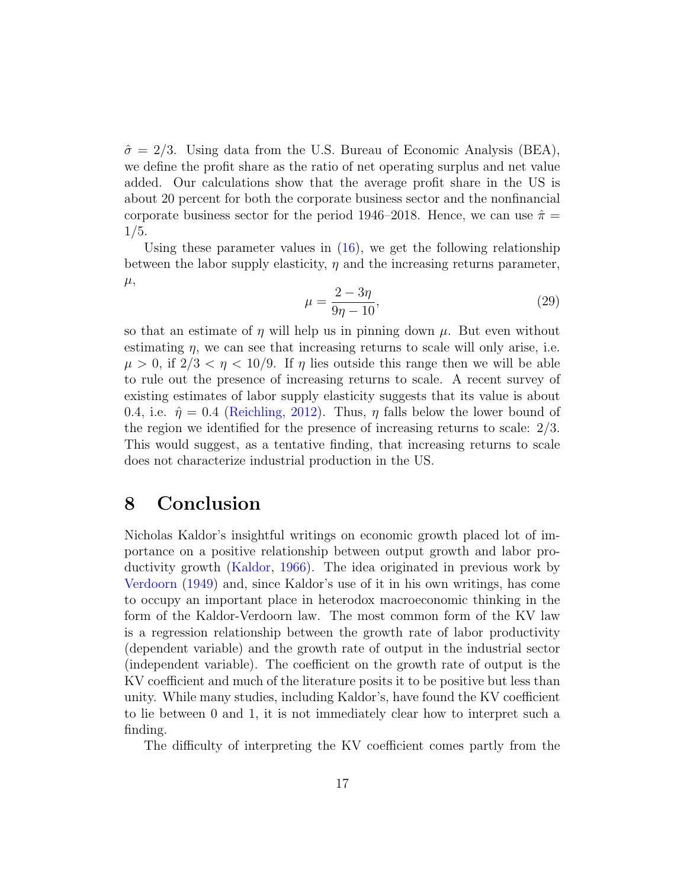$\hat{\sigma} = 2/3$ . Using data from the U.S. Bureau of Economic Analysis (BEA), we define the profit share as the ratio of net operating surplus and net value added. Our calculations show that the average profit share in the US is about 20 percent for both the corporate business sector and the nonfinancial corporate business sector for the period 1946–2018. Hence, we can use  $\hat{\pi} =$ 1/5.

Using these parameter values in  $(16)$ , we get the following relationship between the labor supply elasticity,  $\eta$  and the increasing returns parameter,  $\mu,$ 

$$
\mu = \frac{2 - 3\eta}{9\eta - 10},\tag{29}
$$

so that an estimate of  $\eta$  will help us in pinning down  $\mu$ . But even without estimating  $\eta$ , we can see that increasing returns to scale will only arise, i.e.  $\mu > 0$ , if  $2/3 < \eta < 10/9$ . If  $\eta$  lies outside this range then we will be able to rule out the presence of increasing returns to scale. A recent survey of existing estimates of labor supply elasticity suggests that its value is about 0.4, i.e.  $\hat{\eta} = 0.4$  [\(Reichling,](#page-19-12) [2012\)](#page-19-12). Thus,  $\eta$  falls below the lower bound of the region we identified for the presence of increasing returns to scale: 2/3. This would suggest, as a tentative finding, that increasing returns to scale does not characterize industrial production in the US.

## <span id="page-17-0"></span>8 Conclusion

Nicholas Kaldor's insightful writings on economic growth placed lot of importance on a positive relationship between output growth and labor productivity growth [\(Kaldor,](#page-19-2) [1966\)](#page-19-2). The idea originated in previous work by [Verdoorn](#page-20-0) [\(1949\)](#page-20-0) and, since Kaldor's use of it in his own writings, has come to occupy an important place in heterodox macroeconomic thinking in the form of the Kaldor-Verdoorn law. The most common form of the KV law is a regression relationship between the growth rate of labor productivity (dependent variable) and the growth rate of output in the industrial sector (independent variable). The coefficient on the growth rate of output is the KV coefficient and much of the literature posits it to be positive but less than unity. While many studies, including Kaldor's, have found the KV coefficient to lie between 0 and 1, it is not immediately clear how to interpret such a finding.

The difficulty of interpreting the KV coefficient comes partly from the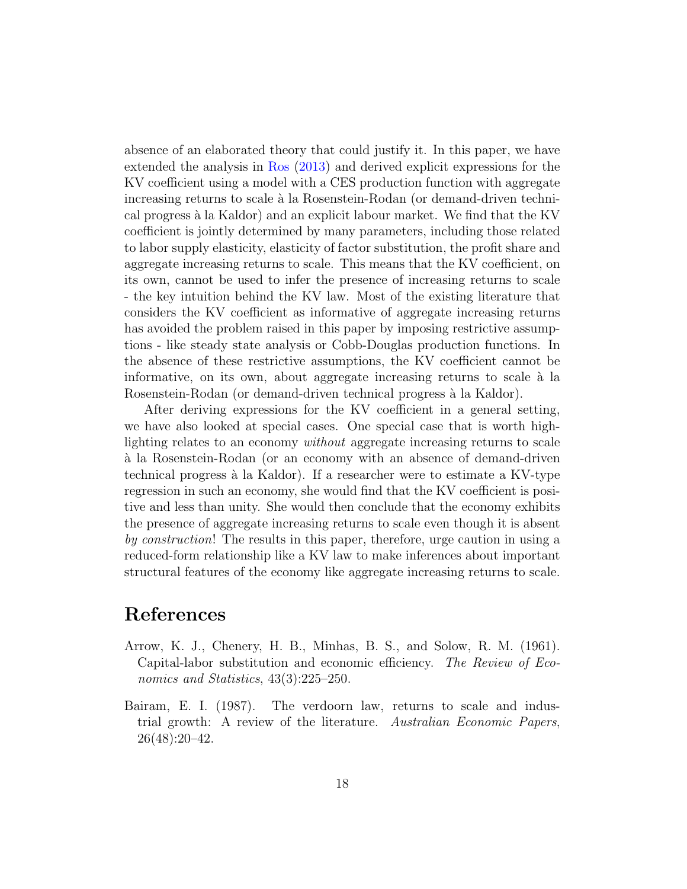absence of an elaborated theory that could justify it. In this paper, we have extended the analysis in [Ros](#page-19-3) [\(2013\)](#page-19-3) and derived explicit expressions for the KV coefficient using a model with a CES production function with aggregate increasing returns to scale à la Rosenstein-Rodan (or demand-driven technical progress `a la Kaldor) and an explicit labour market. We find that the KV coefficient is jointly determined by many parameters, including those related to labor supply elasticity, elasticity of factor substitution, the profit share and aggregate increasing returns to scale. This means that the KV coefficient, on its own, cannot be used to infer the presence of increasing returns to scale - the key intuition behind the KV law. Most of the existing literature that considers the KV coefficient as informative of aggregate increasing returns has avoided the problem raised in this paper by imposing restrictive assumptions - like steady state analysis or Cobb-Douglas production functions. In the absence of these restrictive assumptions, the KV coefficient cannot be informative, on its own, about aggregate increasing returns to scale  $\hat{a}$  la Rosenstein-Rodan (or demand-driven technical progress à la Kaldor).

After deriving expressions for the KV coefficient in a general setting, we have also looked at special cases. One special case that is worth highlighting relates to an economy without aggregate increasing returns to scale `a la Rosenstein-Rodan (or an economy with an absence of demand-driven technical progress `a la Kaldor). If a researcher were to estimate a KV-type regression in such an economy, she would find that the KV coefficient is positive and less than unity. She would then conclude that the economy exhibits the presence of aggregate increasing returns to scale even though it is absent by construction! The results in this paper, therefore, urge caution in using a reduced-form relationship like a KV law to make inferences about important structural features of the economy like aggregate increasing returns to scale.

# References

- <span id="page-18-1"></span>Arrow, K. J., Chenery, H. B., Minhas, B. S., and Solow, R. M. (1961). Capital-labor substitution and economic efficiency. The Review of Economics and Statistics, 43(3):225–250.
- <span id="page-18-0"></span>Bairam, E. I. (1987). The verdoorn law, returns to scale and industrial growth: A review of the literature. Australian Economic Papers, 26(48):20–42.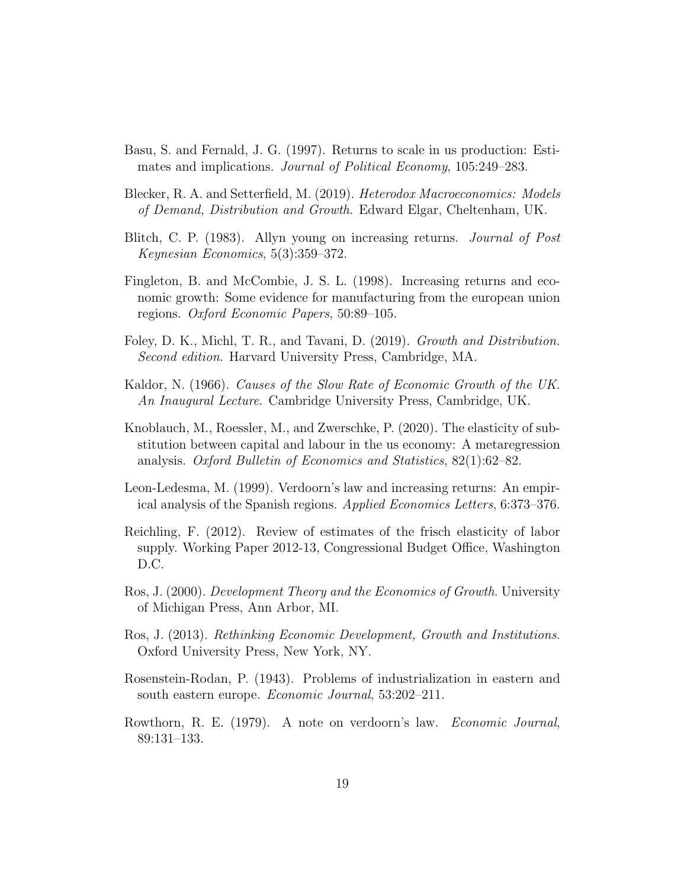- <span id="page-19-8"></span>Basu, S. and Fernald, J. G. (1997). Returns to scale in us production: Estimates and implications. Journal of Political Economy, 105:249–283.
- <span id="page-19-0"></span>Blecker, R. A. and Setterfield, M. (2019). Heterodox Macroeconomics: Models of Demand, Distribution and Growth. Edward Elgar, Cheltenham, UK.
- <span id="page-19-10"></span>Blitch, C. P. (1983). Allyn young on increasing returns. Journal of Post Keynesian Economics, 5(3):359–372.
- <span id="page-19-4"></span>Fingleton, B. and McCombie, J. S. L. (1998). Increasing returns and economic growth: Some evidence for manufacturing from the european union regions. Oxford Economic Papers, 50:89–105.
- <span id="page-19-1"></span>Foley, D. K., Michl, T. R., and Tavani, D. (2019). Growth and Distribution. Second edition. Harvard University Press, Cambridge, MA.
- <span id="page-19-2"></span>Kaldor, N. (1966). Causes of the Slow Rate of Economic Growth of the UK. An Inaugural Lecture. Cambridge University Press, Cambridge, UK.
- <span id="page-19-11"></span>Knoblauch, M., Roessler, M., and Zwerschke, P. (2020). The elasticity of substitution between capital and labour in the us economy: A metaregression analysis. Oxford Bulletin of Economics and Statistics, 82(1):62–82.
- <span id="page-19-5"></span>Leon-Ledesma, M. (1999). Verdoorn's law and increasing returns: An empirical analysis of the Spanish regions. Applied Economics Letters, 6:373–376.
- <span id="page-19-12"></span>Reichling, F. (2012). Review of estimates of the frisch elasticity of labor supply. Working Paper 2012-13, Congressional Budget Office, Washington D.C.
- <span id="page-19-7"></span>Ros, J. (2000). Development Theory and the Economics of Growth. University of Michigan Press, Ann Arbor, MI.
- <span id="page-19-3"></span>Ros, J. (2013). Rethinking Economic Development, Growth and Institutions. Oxford University Press, New York, NY.
- <span id="page-19-9"></span>Rosenstein-Rodan, P. (1943). Problems of industrialization in eastern and south eastern europe. Economic Journal, 53:202–211.
- <span id="page-19-6"></span>Rowthorn, R. E. (1979). A note on verdoorn's law. Economic Journal, 89:131–133.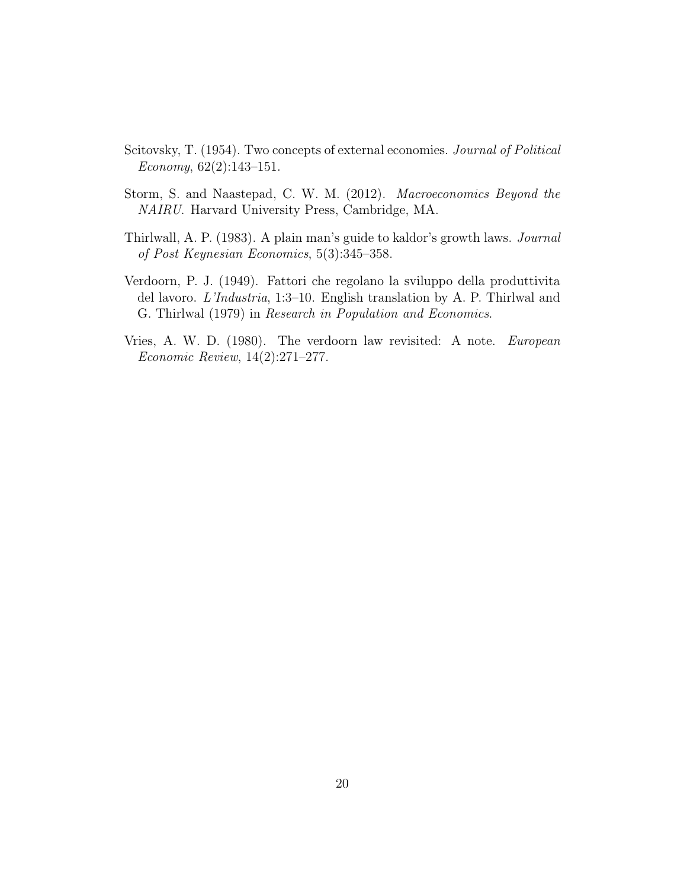- <span id="page-20-4"></span>Scitovsky, T. (1954). Two concepts of external economies. Journal of Political Economy, 62(2):143–151.
- <span id="page-20-1"></span>Storm, S. and Naastepad, C. W. M. (2012). Macroeconomics Beyond the NAIRU. Harvard University Press, Cambridge, MA.
- <span id="page-20-2"></span>Thirlwall, A. P. (1983). A plain man's guide to kaldor's growth laws. Journal of Post Keynesian Economics, 5(3):345–358.
- <span id="page-20-0"></span>Verdoorn, P. J. (1949). Fattori che regolano la sviluppo della produttivita del lavoro. L'Industria, 1:3–10. English translation by A. P. Thirlwal and G. Thirlwal (1979) in Research in Population and Economics.
- <span id="page-20-3"></span>Vries, A. W. D. (1980). The verdoorn law revisited: A note. European Economic Review, 14(2):271–277.